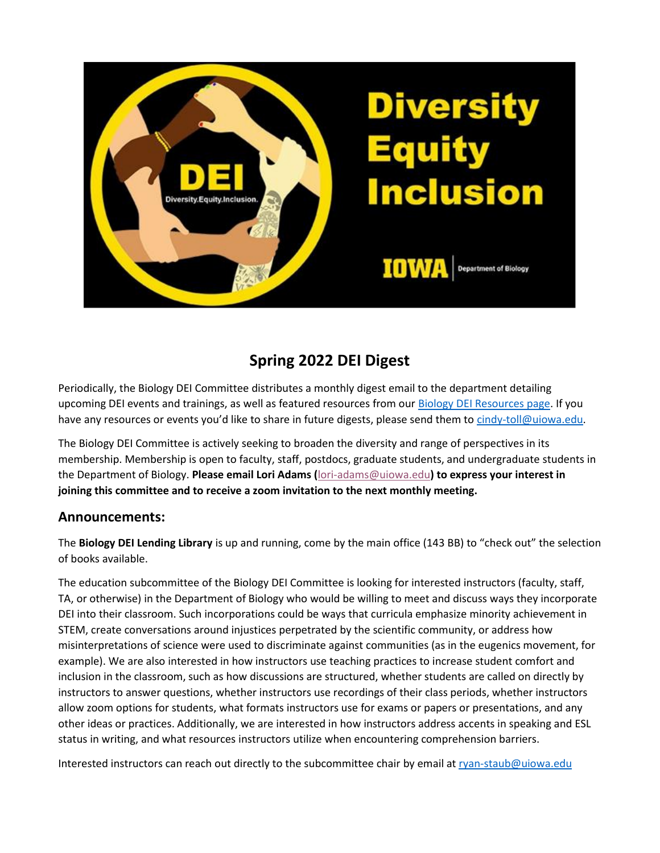

# **Spring 2022 DEI Digest**

Periodically, the Biology DEI Committee distributes a monthly digest email to the department detailing upcoming DEI events and trainings, as well as featured resources from our [Biology DEI Resources page.](https://biology.uiowa.edu/about/diversity-equity-and-inclusion) If you have any resources or events you'd like to share in future digests, please send them to [cindy-toll@uiowa.edu.](mailto:cindy-toll@uiowa.edu)

The Biology DEI Committee is actively seeking to broaden the diversity and range of perspectives in its membership. Membership is open to faculty, staff, postdocs, graduate students, and undergraduate students in the Department of Biology. **Please email Lori Adams (**[lori-adams@uiowa.edu](mailto:lori-adams@uiowa.edu)**) to express your interest in joining this committee and to receive a zoom invitation to the next monthly meeting.**

### **Announcements:**

The **Biology DEI Lending Library** is up and running, come by the main office (143 BB) to "check out" the selection of books available.

The education subcommittee of the Biology DEI Committee is looking for interested instructors (faculty, staff, TA, or otherwise) in the Department of Biology who would be willing to meet and discuss ways they incorporate DEI into their classroom. Such incorporations could be ways that curricula emphasize minority achievement in STEM, create conversations around injustices perpetrated by the scientific community, or address how misinterpretations of science were used to discriminate against communities (as in the eugenics movement, for example). We are also interested in how instructors use teaching practices to increase student comfort and inclusion in the classroom, such as how discussions are structured, whether students are called on directly by instructors to answer questions, whether instructors use recordings of their class periods, whether instructors allow zoom options for students, what formats instructors use for exams or papers or presentations, and any other ideas or practices. Additionally, we are interested in how instructors address accents in speaking and ESL status in writing, and what resources instructors utilize when encountering comprehension barriers.

Interested instructors can reach out directly to the subcommittee chair by email a[t ryan-staub@uiowa.edu](mailto:ryan-staub@uiowa.edu)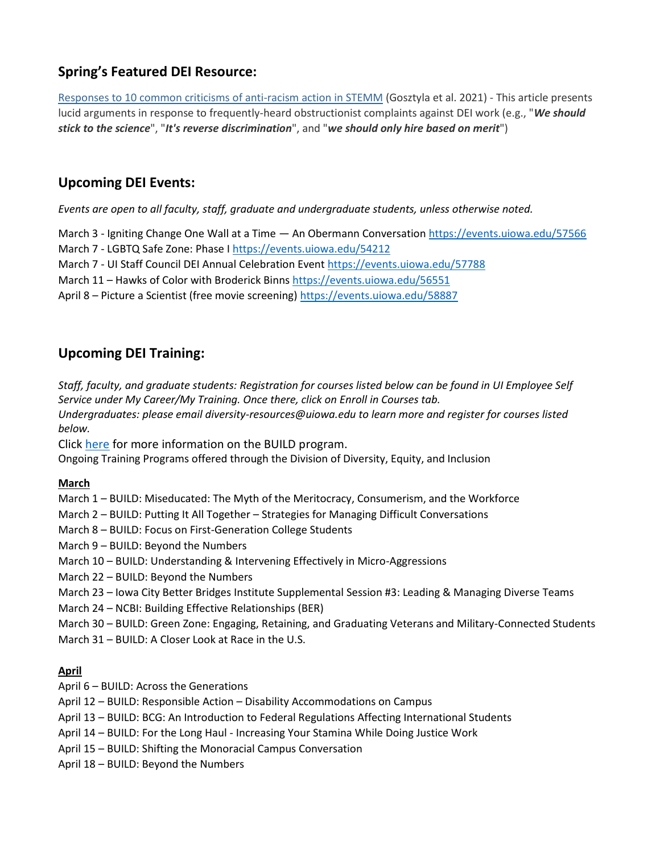# **Spring's Featured DEI Resource:**

Responses to 10 common criticisms of [anti-racism](https://journals.plos.org/ploscompbiol/article?id=10.1371/journal.pcbi.1009141) action in STEMM (Gosztyla et al. 2021) - This article presents lucid arguments in response to frequently-heard obstructionist complaints against DEI work (e.g., "*We should stick to the science*", "*It's reverse discrimination*", and "*we should only hire based on merit*")

### **Upcoming DEI Events:**

*Events are open to all faculty, staff, graduate and undergraduate students, unless otherwise noted.*

March 3 - Igniting Change One Wall at a Time — An Obermann Conversatio[n https://events.uiowa.edu/57566](https://events.uiowa.edu/57566)

March 7 - LGBTQ Safe Zone: Phase I <https://events.uiowa.edu/54212>

March 7 - UI Staff Council DEI Annual Celebration Event <https://events.uiowa.edu/57788>

March 11 – Hawks of Color with Broderick Binns<https://events.uiowa.edu/56551>

April 8 – Picture a Scientist (free movie screening)<https://events.uiowa.edu/58887>

# **Upcoming DEI Training:**

*Staff, faculty, and graduate students: Registration for courses listed below can be found in UI Employee Self Service under My Career/My Training. Once there, click on Enroll in Courses tab.* 

*Undergraduates: please email diversity-resources@uiowa.edu to learn more and register for courses listed below.* 

Click [here](https://diversity.uiowa.edu/programs/training-programs/build-training-initiative) for more information on the BUILD program.

Ongoing Training Programs offered through the Division of Diversity, Equity, and Inclusion

#### **March**

- March 1 BUILD: Miseducated: The Myth of the Meritocracy, Consumerism, and the Workforce
- March 2 BUILD: Putting It All Together Strategies for Managing Difficult Conversations
- March 8 BUILD: Focus on First-Generation College Students
- March 9 BUILD: Beyond the Numbers
- March 10 BUILD: Understanding & Intervening Effectively in Micro-Aggressions
- March 22 BUILD: Beyond the Numbers
- March 23 Iowa City Better Bridges Institute Supplemental Session #3: Leading & Managing Diverse Teams
- March 24 NCBI: Building Effective Relationships (BER)
- March 30 BUILD: Green Zone: Engaging, Retaining, and Graduating Veterans and Military-Connected Students
- March 31 BUILD: A Closer Look at Race in the U.S.

#### **April**

April 6 – BUILD: Across the Generations

- April 12 BUILD: Responsible Action Disability Accommodations on Campus
- April 13 BUILD: BCG: An Introduction to Federal Regulations Affecting International Students
- April 14 BUILD: For the Long Haul Increasing Your Stamina While Doing Justice Work
- April 15 BUILD: Shifting the Monoracial Campus Conversation
- April 18 BUILD: Beyond the Numbers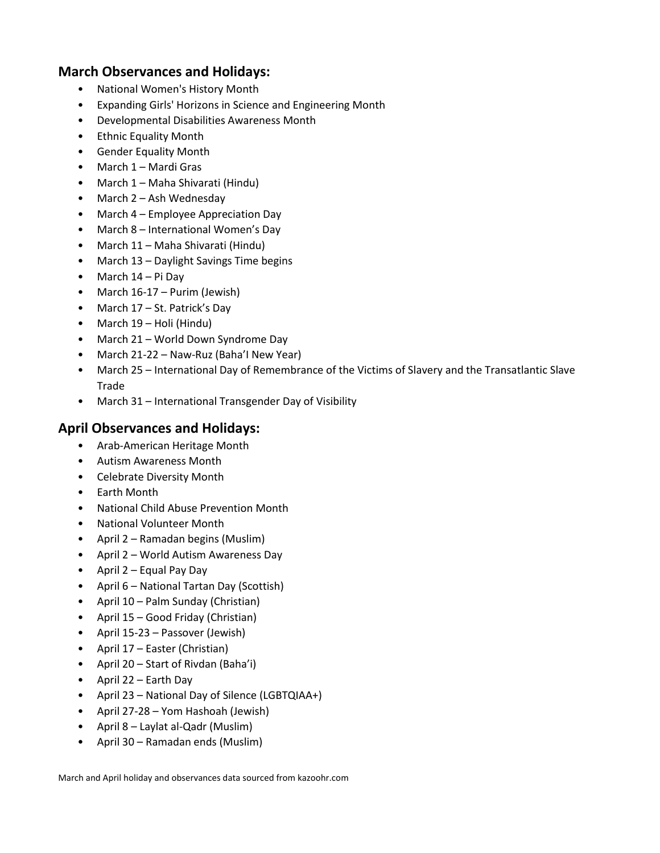### **March Observances and Holidays:**

- National Women's History Month
- Expanding Girls' Horizons in Science and Engineering Month
- Developmental Disabilities Awareness Month
- Ethnic Equality Month
- Gender Equality Month
- March 1 Mardi Gras
- March 1 Maha Shivarati (Hindu)
- March 2 Ash Wednesday
- March 4 Employee Appreciation Day
- March 8 International Women's Day
- March 11 Maha Shivarati (Hindu)
- March 13 Daylight Savings Time begins
- March 14 Pi Day
- March 16-17 Purim (Jewish)
- March 17 St. Patrick's Day
- March 19 Holi (Hindu)
- March 21 World Down Syndrome Day
- March 21-22 Naw-Ruz (Baha'I New Year)
- March 25 International Day of Remembrance of the Victims of Slavery and the Transatlantic Slave Trade
- March 31 International Transgender Day of Visibility

#### **April Observances and Holidays:**

- Arab-American Heritage Month
- Autism Awareness Month
- Celebrate Diversity Month
- Earth Month
- National Child Abuse Prevention Month
- National Volunteer Month
- April 2 Ramadan begins (Muslim)
- April 2 World Autism Awareness Day
- April 2 Equal Pay Day
- April 6 National Tartan Day (Scottish)
- April 10 Palm Sunday (Christian)
- April 15 Good Friday (Christian)
- April 15-23 Passover (Jewish)
- April 17 Easter (Christian)
- April 20 Start of Rivdan (Baha'i)
- April 22 Earth Day
- April 23 National Day of Silence (LGBTQIAA+)
- April 27-28 Yom Hashoah (Jewish)
- April 8 Laylat al-Qadr (Muslim)
- April 30 Ramadan ends (Muslim)

March and April holiday and observances data sourced from kazoohr.com